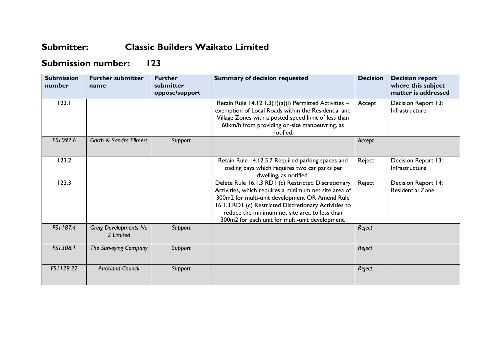## **Submitter: Classic Builders Waikato Limited**

## **Submission number: 123**

| <b>Submission</b><br>number | <b>Further submitter</b><br>name   | <b>Further</b><br>submitter<br>oppose/support | <b>Summary of decision requested</b>                                                                                                                                                                                                                                                                                        | <b>Decision</b> | <b>Decision report</b><br>where this subject<br>matter is addressed |
|-----------------------------|------------------------------------|-----------------------------------------------|-----------------------------------------------------------------------------------------------------------------------------------------------------------------------------------------------------------------------------------------------------------------------------------------------------------------------------|-----------------|---------------------------------------------------------------------|
| 123.1                       |                                    |                                               | Retain Rule 14.12.1.3(1)(a)(i) Permitted Activities -<br>exemption of Local Roads within the Residential and<br>Village Zones with a posted speed limit of less than<br>60km/h from providing on-site manoeuvring, as<br>notified.                                                                                          | Accept          | Decision Report 13:<br>Infrastructure                               |
| FS1092.6                    | <b>Garth &amp; Sandra Ellmers</b>  | Support                                       |                                                                                                                                                                                                                                                                                                                             | Accept          |                                                                     |
| 123.2                       |                                    |                                               | Retain Rule 14.12.5.7 Required parking spaces and<br>loading bays which requires two car parks per<br>dwelling, as notified.                                                                                                                                                                                                | Reject          | Decision Report 13:<br>Infrastructure                               |
| 123.3                       |                                    |                                               | Delete Rule 16.1.3 RD1 (c) Restricted Discretionary<br>Activities, which requires a minimum net site area of<br>300m2 for multi-unit development OR Amend Rule<br>16.1.3 RD1 (c) Restricted Discretionary Activities to<br>reduce the minimum net site area to less than<br>300m2 for each unit for multi-unit development. | Reject          | <b>Decision Report 14:</b><br><b>Residential Zone</b>               |
| FS1187.4                    | Greig Developments No<br>2 Limited | Support                                       |                                                                                                                                                                                                                                                                                                                             | Reject          |                                                                     |
| FS1308.1                    | The Surveying Company              | Support                                       |                                                                                                                                                                                                                                                                                                                             | Reject          |                                                                     |
| FS1129.22                   | <b>Auckland Council</b>            | Support                                       |                                                                                                                                                                                                                                                                                                                             | Reject          |                                                                     |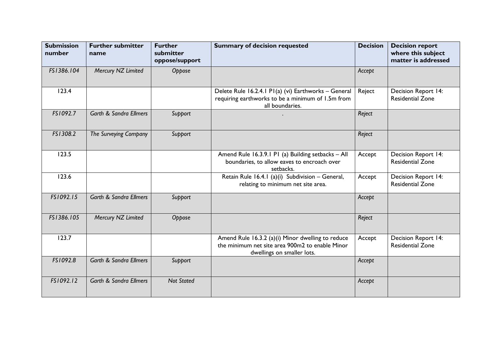| <b>Submission</b><br>number | <b>Further submitter</b><br>name  | <b>Further</b><br>submitter<br>oppose/support | <b>Summary of decision requested</b>                                                                                               | <b>Decision</b> | <b>Decision report</b><br>where this subject<br>matter is addressed |
|-----------------------------|-----------------------------------|-----------------------------------------------|------------------------------------------------------------------------------------------------------------------------------------|-----------------|---------------------------------------------------------------------|
| FS1386.104                  | Mercury NZ Limited                | Oppose                                        |                                                                                                                                    | Accept          |                                                                     |
| 123.4                       |                                   |                                               | Delete Rule 16.2.4.1 P1(a) (vi) Earthworks - General<br>requiring earthworks to be a minimum of 1.5m from<br>all boundaries.       | Reject          | Decision Report 14:<br><b>Residential Zone</b>                      |
| FS1092.7                    | <b>Garth &amp; Sandra Ellmers</b> | Support                                       |                                                                                                                                    | Reject          |                                                                     |
| FS1308.2                    | The Surveying Company             | Support                                       |                                                                                                                                    | Reject          |                                                                     |
| 123.5                       |                                   |                                               | Amend Rule 16.3.9.1 P1 (a) Building setbacks - All<br>boundaries, to allow eaves to encroach over<br>setbacks.                     | Accept          | Decision Report 14:<br><b>Residential Zone</b>                      |
| 123.6                       |                                   |                                               | Retain Rule 16.4.1 (a)(i) Subdivision - General,<br>relating to minimum net site area.                                             | Accept          | Decision Report 14:<br><b>Residential Zone</b>                      |
| FS1092.15                   | <b>Garth &amp; Sandra Ellmers</b> | Support                                       |                                                                                                                                    | Accept          |                                                                     |
| FS1386.105                  | Mercury NZ Limited                | Oppose                                        |                                                                                                                                    | Reject          |                                                                     |
| 123.7                       |                                   |                                               | Amend Rule 16.3.2 (a)(i) Minor dwelling to reduce<br>the minimum net site area 900m2 to enable Minor<br>dwellings on smaller lots. | Accept          | Decision Report 14:<br><b>Residential Zone</b>                      |
| FS1092.8                    | <b>Garth &amp; Sandra Ellmers</b> | Support                                       |                                                                                                                                    | Accept          |                                                                     |
| FS1092.12                   | <b>Garth &amp; Sandra Ellmers</b> | <b>Not Stated</b>                             |                                                                                                                                    | Accept          |                                                                     |